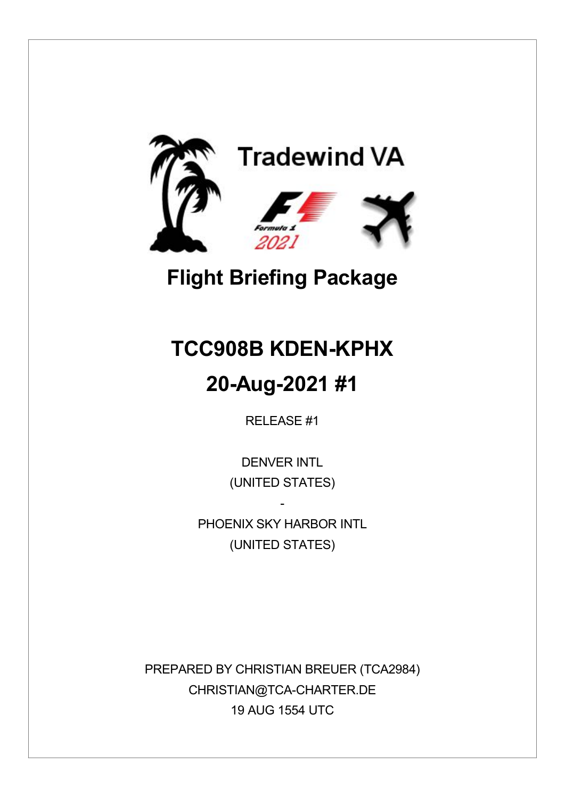

## **Flight Briefing Package**

# **TCC908B KDEN-KPHX 20-Aug-2021 #1**

RELEASE #1

DENVER INTL (UNITED STATES)

PHOFNIX SKY HARBOR INTL (UNITED STATES)

-

PREPARED BY CHRISTIAN BREUER (TCA2984) CHRISTIAN@TCA-CHARTER.DE 19 AUG 1554 UTC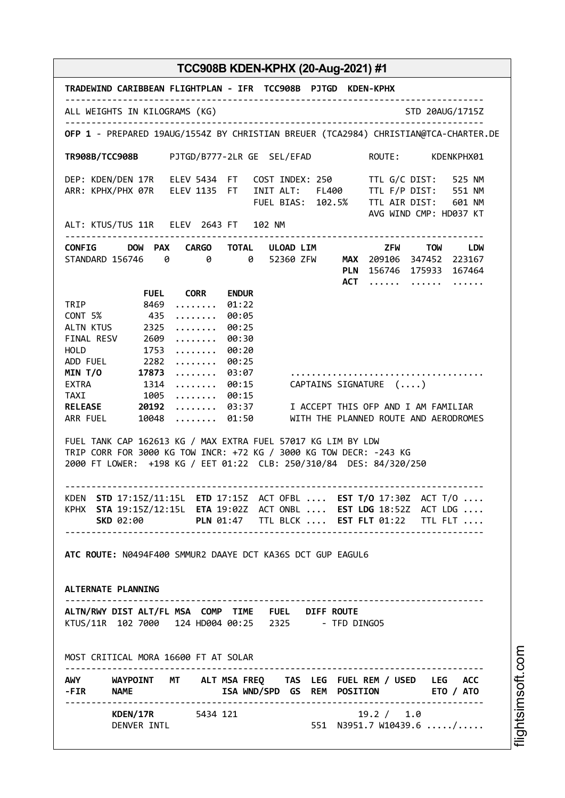| TRADEWIND CARIBBEAN FLIGHTPLAN - IFR TCC908B PJTGD KDEN-KPHX                                                                                                                                                               |                                                                                     |                                                                                                           |                                                           |  |  |                                                     |                                                                                                                                                                                                                                                |
|----------------------------------------------------------------------------------------------------------------------------------------------------------------------------------------------------------------------------|-------------------------------------------------------------------------------------|-----------------------------------------------------------------------------------------------------------|-----------------------------------------------------------|--|--|-----------------------------------------------------|------------------------------------------------------------------------------------------------------------------------------------------------------------------------------------------------------------------------------------------------|
| ALL WEIGHTS IN KILOGRAMS (KG)                                                                                                                                                                                              |                                                                                     |                                                                                                           |                                                           |  |  |                                                     | STD 20AUG/1715Z                                                                                                                                                                                                                                |
|                                                                                                                                                                                                                            | OFP 1 - PREPARED 19AUG/1554Z BY CHRISTIAN BREUER (TCA2984) CHRISTIAN@TCA-CHARTER.DE |                                                                                                           |                                                           |  |  |                                                     |                                                                                                                                                                                                                                                |
|                                                                                                                                                                                                                            |                                                                                     |                                                                                                           |                                                           |  |  |                                                     | TR908B/TCC908B PJTGD/B777-2LR GE SEL/EFAD ROUTE: KDENKPHX01                                                                                                                                                                                    |
|                                                                                                                                                                                                                            |                                                                                     |                                                                                                           |                                                           |  |  |                                                     | DEP: KDEN/DEN 17R ELEV 5434 FT COST INDEX: 250 TTL G/C DIST: 525 NM<br>ARR: KPHX/PHX 07R ELEV 1135 FT INIT ALT: FL400 TTL F/P DIST: 551 NM<br>FUEL BIAS: 102.5% TTL AIR DIST: 601 NM                                                           |
|                                                                                                                                                                                                                            |                                                                                     |                                                                                                           |                                                           |  |  |                                                     |                                                                                                                                                                                                                                                |
|                                                                                                                                                                                                                            |                                                                                     |                                                                                                           |                                                           |  |  |                                                     | CONFIG DOW PAX CARGO TOTAL ULOAD LIM ZFW TOW LDW<br>STANDARD 156746 0 0 0 52360 ZFW MAX 209106 347452 223167<br>PLN 156746 175933 167464<br>ACT                                                                                                |
| TRIP 8469<br>CONT 5% 435<br>ALTN KTUS 2325<br>FINAL RESV 2609<br>HOLD 1753<br>ADD FUEL 2282<br>MIN T/O 17873<br>EXTRA 1314                                                                                                 |                                                                                     | <b>FUEL CORR</b><br>.<br>.<br>.<br>.<br>.<br>$\cdots \cdots \cdots 00:25$<br>$\cdots \cdots \cdots 03:07$ | <b>ENDUR</b><br>01:22<br>00:05<br>00:25<br>00:30<br>00:20 |  |  | $\ldots \ldots$ 00:15 CAPTAINS SIGNATURE $(\ldots)$ |                                                                                                                                                                                                                                                |
| TAXI 1005<br>RELEASE 20192                                                                                                                                                                                                 |                                                                                     | $\cdots \cdots 00:15$                                                                                     |                                                           |  |  |                                                     | 03:37 I ACCEPT THIS OFP AND I AM FAMILIAR                                                                                                                                                                                                      |
| ARR FUEL 10048<br>FUEL TANK CAP 162613 KG / MAX EXTRA FUEL 57017 KG LIM BY LDW<br>TRIP CORR FOR 3000 KG TOW INCR: +72 KG / 3000 KG TOW DECR: -243 KG<br>2000 FT LOWER: +198 KG / EET 01:22 CLB: 250/310/84 DES: 84/320/250 |                                                                                     |                                                                                                           |                                                           |  |  |                                                     | 01:50 WITH THE PLANNED ROUTE AND AERODROMES<br>KDEN STD 17:15Z/11:15L ETD 17:15Z ACT OFBL  EST T/O 17:30Z ACT T/O<br>KPHX STA 19:15Z/12:15L ETA 19:02Z ACT ONBL  EST LDG 18:52Z ACT LDG<br>SKD 02:00 PLN 01:47 TTL BLCK  EST FLT 01:22 TTL FLT |
| ATC ROUTE: N0494F400 SMMUR2 DAAYE DCT KA36S DCT GUP EAGUL6<br>ALTERNATE PLANNING                                                                                                                                           |                                                                                     |                                                                                                           |                                                           |  |  |                                                     |                                                                                                                                                                                                                                                |
| ALTN/RWY DIST ALT/FL MSA COMP TIME FUEL DIFF ROUTE<br>KTUS/11R  102  7000  124  HD004  00:25  2325  - TFD DING05                                                                                                           |                                                                                     |                                                                                                           |                                                           |  |  |                                                     |                                                                                                                                                                                                                                                |
| MOST CRITICAL MORA 16600 FT AT SOLAR                                                                                                                                                                                       |                                                                                     |                                                                                                           |                                                           |  |  |                                                     |                                                                                                                                                                                                                                                |
| - FIR NAME                                                                                                                                                                                                                 |                                                                                     |                                                                                                           |                                                           |  |  |                                                     | AWY WAYPOINT MT ALT MSA FREQ TAS LEG FUEL REM / USED LEG ACC<br>ISA WND/SPD GS REM POSITION ETO / ATO                                                                                                                                          |
|                                                                                                                                                                                                                            | DENVER INTL                                                                         | KDEN/17R 5434 121                                                                                         |                                                           |  |  | 19.2 / 1.0                                          | 551 N3951.7 W10439.6 /                                                                                                                                                                                                                         |

i⊒<br>⊫ htsim soft.c o

m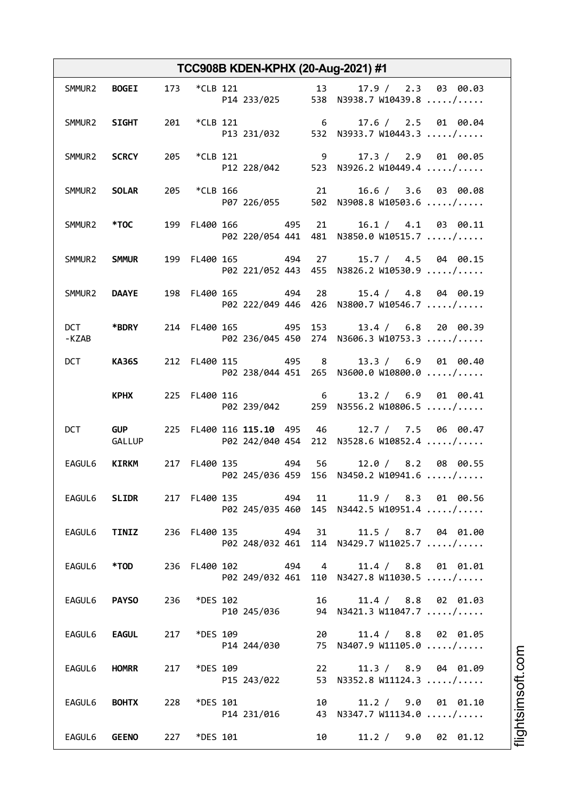| TCC908B KDEN-KPHX (20-Aug-2021) #1 |                      |     |               |  |                                  |     |    |                                                                  |
|------------------------------------|----------------------|-----|---------------|--|----------------------------------|-----|----|------------------------------------------------------------------|
| SMMUR2                             | <b>BOGEI</b>         |     | 173 *CLB 121  |  |                                  |     |    | 13 17.9 / 2.3 03 00.03<br>P14 233/025 538 N3938.7 W10439.8 /     |
|                                    | SMMUR2 SIGHT         |     |               |  | 201 *CLB 121 6                   |     |    | 17.6 / 2.5 01 00.04<br>P13 231/032 532 N3933.7 W10443.3 /        |
|                                    | SMMUR2 SCRCY         |     |               |  | 205 *CLB 121 9                   |     |    | 17.3 / 2.9 01 00.05<br>P12 228/042 523 N3926.2 W10449.4 /        |
| SMMUR2 SOLAR                       |                      |     | 205 *CLB 166  |  | 21                               |     |    | $16.6 / 3.6$ 03 00.08<br>P07 226/055 502 N3908.8 W10503.6 /      |
|                                    | SMMUR2 *TOC          |     |               |  | 199 FL400 166 495 21             |     |    | 16.1 / 4.1 03 00.11<br>P02 220/054 441 481 N3850.0 W10515.7 /    |
| SMMUR2 SMMUR                       |                      |     |               |  | 199 FL400 165 494 27             |     |    | 15.7 / 4.5 04 00.15<br>P02 221/052 443 455 N3826.2 W10530.9 /    |
|                                    | SMMUR2 DAAYE         |     |               |  | 198 FL400 165 494 28             |     |    | 15.4 / 4.8 04 00.19<br>P02 222/049 446 426 N3800.7 W10546.7 /    |
| -KZAB                              | DCT *BDRY            |     |               |  | 214 FL400 165 495 153            |     |    | 13.4 / 6.8 20 00.39<br>P02 236/045 450 274 N3606.3 W10753.3 /    |
| <b>DCT</b>                         | <b>KA36S</b>         |     |               |  | 212 FL400 115 495 8              |     |    | 13.3 / 6.9 01 00.40<br>P02 238/044 451 265 N3600.0 W10800.0 /    |
|                                    | <b>KPHX</b>          |     | 225 FL400 116 |  | $\overline{6}$                   |     |    | 13.2 / 6.9 01 00.41<br>P02 239/042 259 N3556.2 W10806.5 /        |
| DCT                                | <b>GUP</b><br>GALLUP |     |               |  | 225 FL400 116 115.10 495 46      |     |    | 12.7 / 7.5 06 00.47<br>P02 242/040 454 212 N3528.6 W10852.4 /    |
| EAGUL6                             | <b>KIRKM</b>         |     |               |  | 217 FL400 135 494 56             |     |    | 12.0 / 8.2 08 00.55<br>P02 245/036 459 156 N3450.2 W10941.6 /    |
| EAGUL6                             | <b>SLIDR</b>         |     |               |  | 217 FL400 135<br>P02 245/035 460 | 494 | 11 | 11.9 / 8.3 01 00.56<br>145 N3442.5 W10951.4 /                    |
| EAGUL6                             | TINIZ                |     |               |  | 236 FL400 135<br>P02 248/032 461 | 494 | 31 | 11.5 / 8.7 04 01.00<br>114 N3429.7 W11025.7 /                    |
| EAGUL6                             | *TOD                 | 236 |               |  | FL400 102<br>P02 249/032 461     | 494 |    | $4\overline{ }$<br>11.4 / 8.8 01 01.01<br>110 N3427.8 W11030.5 / |
| EAGUL6                             | <b>PAYSO</b>         | 236 | *DES 102      |  | P10 245/036                      |     |    | 16 —<br>11.4 / 8.8 02 01.03<br>94 N3421.3 W11047.7 /             |
| EAGUL6                             | <b>EAGUL</b>         | 217 | *DES 109      |  | P14 244/030                      |     |    | 20<br>11.4 / 8.8 02 01.05<br>75 N3407.9 W11105.0 /               |
| EAGUL6                             | <b>HOMRR</b>         | 217 | *DES 109      |  | P15 243/022                      |     |    | 22<br>11.3 / 8.9 04 01.09<br>53 N3352.8 W11124.3 /               |
| EAGUL6                             | <b>BOHTX</b>         | 228 | *DES 101      |  | P14 231/016                      |     |    | 10<br>$9.0 \t 01 \t 01.10$<br>11.2 /<br>43 N3347.7 W11134.0 /    |
| EAGUL6                             | <b>GEENO</b>         | 227 | *DES 101      |  |                                  |     |    | 10<br>11.2 / 9.0 02 01.12                                        |

m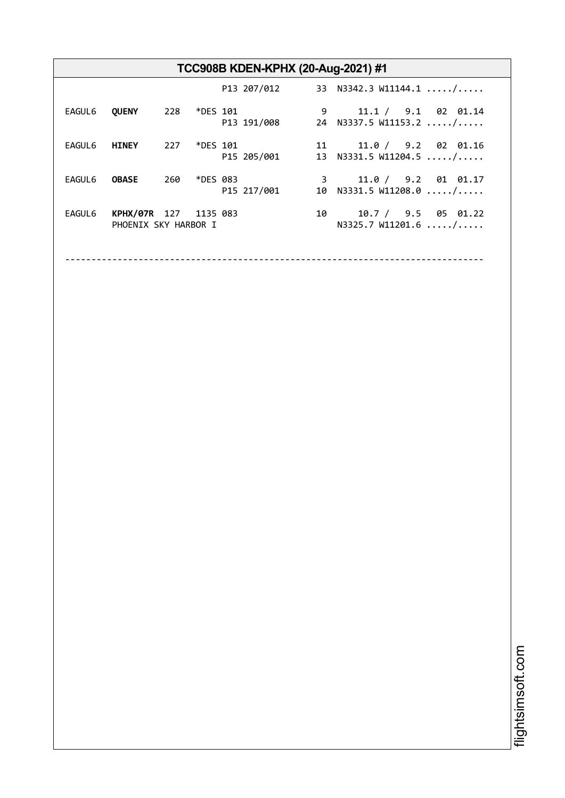| TCC908B KDEN-KPHX (20-Aug-2021) #1 |                                               |     |          |  |             |   |                                                      |
|------------------------------------|-----------------------------------------------|-----|----------|--|-------------|---|------------------------------------------------------|
|                                    |                                               |     |          |  | P13 207/012 |   | 33 N3342.3 W11144.1 $\dots$                          |
| EAGUL6                             | <b>QUENY</b>                                  | 228 | *DES 101 |  | P13 191/008 | 9 | 11.1 / 9.1 02 01.14<br>24 N3337.5 W11153.2 /         |
| EAGUL6                             | <b>HINEY</b>                                  | 227 | *DES 101 |  | P15 205/001 |   | 11.0 / 9.2 02 01.16<br>11 —<br>13 N3331.5 W11204.5 / |
| EAGUL6                             | <b>OBASE</b>                                  | 260 | *DES 083 |  | P15 217/001 | 3 | 11.0 / 9.2 01 01.17<br>10 $N3331.5 W11208.0  / $     |
| EAGUL6                             | KPHX/07R 127 1135 083<br>PHOENIX SKY HARBOR I |     |          |  |             |   | 10.7 / 9.5 05 01.22<br>10<br>N3325.7 W11201.6  /     |
|                                    |                                               |     |          |  |             |   |                                                      |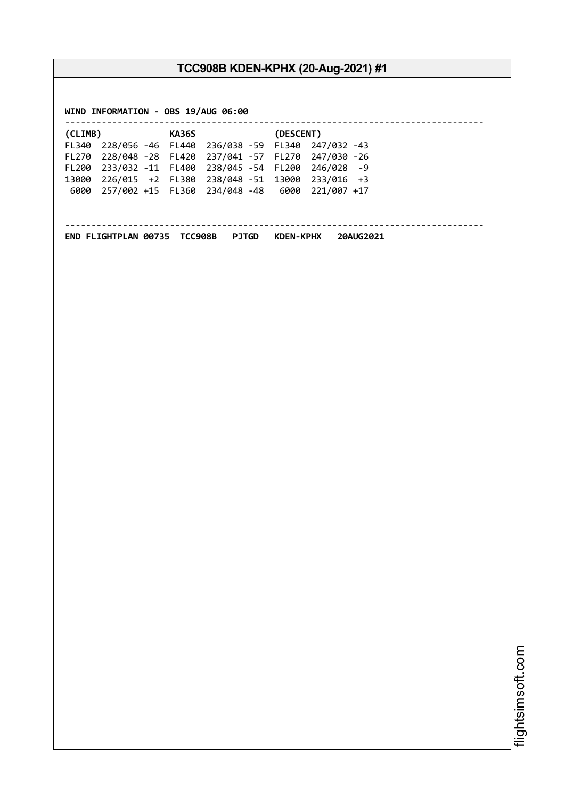**WIND INFORMATION - OBS 19/AUG 06:00**

| (CLIMB) |                                                       | <b>KA36S</b> |                                                | (DESCENT) |  |  |  |  |
|---------|-------------------------------------------------------|--------------|------------------------------------------------|-----------|--|--|--|--|
|         | FL340 228/056 -46 FL440 236/038 -59 FL340 247/032 -43 |              |                                                |           |  |  |  |  |
|         | FL270 228/048 -28 FL420 237/041 -57 FL270 247/030 -26 |              |                                                |           |  |  |  |  |
|         | FL200 233/032 -11 FL400 238/045 -54 FL200 246/028 -9  |              |                                                |           |  |  |  |  |
|         | 13000 226/015 +2 FL380 238/048 -51 13000 233/016 +3   |              |                                                |           |  |  |  |  |
| 6000    |                                                       |              | 257/002 +15 FL360 234/048 -48 6000 221/007 +17 |           |  |  |  |  |
|         |                                                       |              |                                                |           |  |  |  |  |
|         |                                                       |              |                                                |           |  |  |  |  |
|         |                                                       |              |                                                |           |  |  |  |  |

**END FLIGHTPLAN 00735 TCC908B PJTGD KDEN-KPHX 20AUG2021**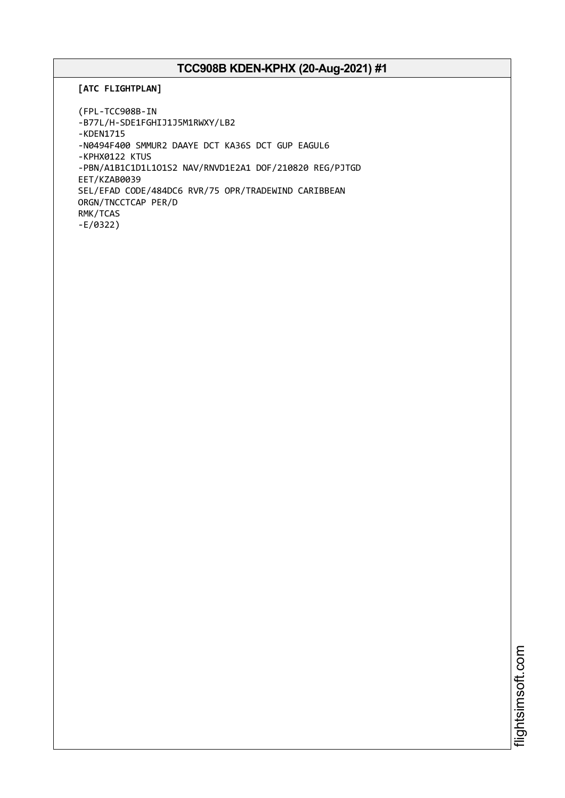#### **[ATC FLIGHTPLAN]**

```
(FPL-TCC908B-IN
-B77L/H-SDE1FGHIJ1J5M1RWXY/LB2
-KDEN1715
-N0494F400 SMMUR2 DAAYE DCT KA36S DCT GUP EAGUL6
-KPHX0122 KTUS
-PBN/A1B1C1D1L1O1S2 NAV/RNVD1E2A1 DOF/210820 REG/PJTGD
EET/KZAB0039
SEL/EFAD CODE/484DC6 RVR/75 OPR/TRADEWIND CARIBBEAN
ORGN/TNCCTCAP PER/D
RMK/TCAS
-E/0322)
```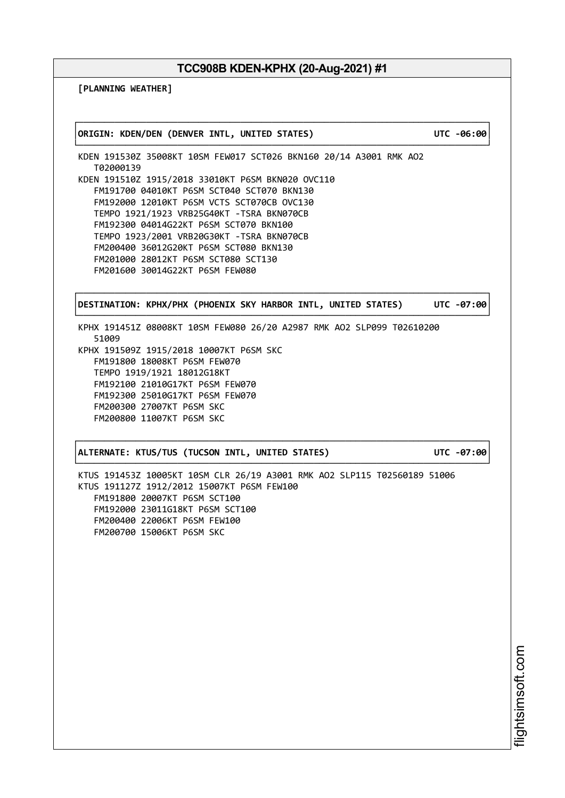**[PLANNING WEATHER]**

┌──────────────────────────────────────────────────────────────────────────────┐ │**ORIGIN: KDEN/DEN (DENVER INTL, UNITED STATES) UTC -06:00**│ └──────────────────────────────────────────────────────────────────────────────┘ KDEN 191530Z 35008KT 10SM FEW017 SCT026 BKN160 20/14 A3001 RMK AO2 T02000139 KDEN 191510Z 1915/2018 33010KT P6SM BKN020 OVC110 FM191700 04010KT P6SM SCT040 SCT070 BKN130 FM192000 12010KT P6SM VCTS SCT070CB OVC130 TEMPO 1921/1923 VRB25G40KT -TSRA BKN070CB FM192300 04014G22KT P6SM SCT070 BKN100 TEMPO 1923/2001 VRB20G30KT -TSRA BKN070CB FM200400 36012G20KT P6SM SCT080 BKN130 FM201000 28012KT P6SM SCT080 SCT130 FM201600 30014G22KT P6SM FEW080 ┌──────────────────────────────────────────────────────────────────────────────┐ │**DESTINATION: KPHX/PHX (PHOENIX SKY HARBOR INTL, UNITED STATES) UTC -07:00**│ └──────────────────────────────────────────────────────────────────────────────┘ KPHX 191451Z 08008KT 10SM FEW080 26/20 A2987 RMK AO2 SLP099 T02610200 51009 KPHX 191509Z 1915/2018 10007KT P6SM SKC FM191800 18008KT P6SM FEW070 TEMPO 1919/1921 18012G18KT FM192100 21010G17KT P6SM FEW070 FM192300 25010G17KT P6SM FEW070 FM200300 27007KT P6SM SKC FM200800 11007KT P6SM SKC ┌──────────────────────────────────────────────────────────────────────────────┐ │**ALTERNATE: KTUS/TUS (TUCSON INTL, UNITED STATES) UTC -07:00**│ └──────────────────────────────────────────────────────────────────────────────┘ KTUS 191453Z 10005KT 10SM CLR 26/19 A3001 RMK AO2 SLP115 T02560189 51006 KTUS 191127Z 1912/2012 15007KT P6SM FEW100 FM191800 20007KT P6SM SCT100 FM192000 23011G18KT P6SM SCT100 FM200400 22006KT P6SM FEW100 FM200700 15006KT P6SM SKC

i⊒<br>⊫ htsim soft.c om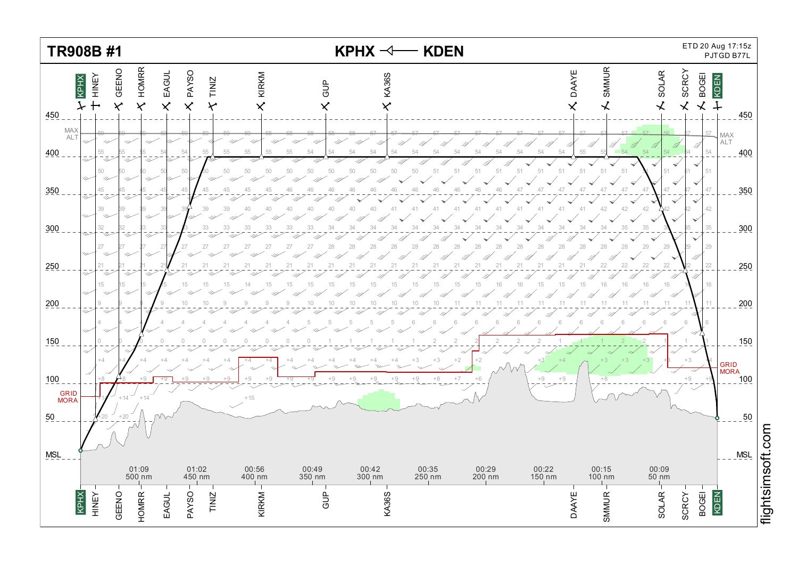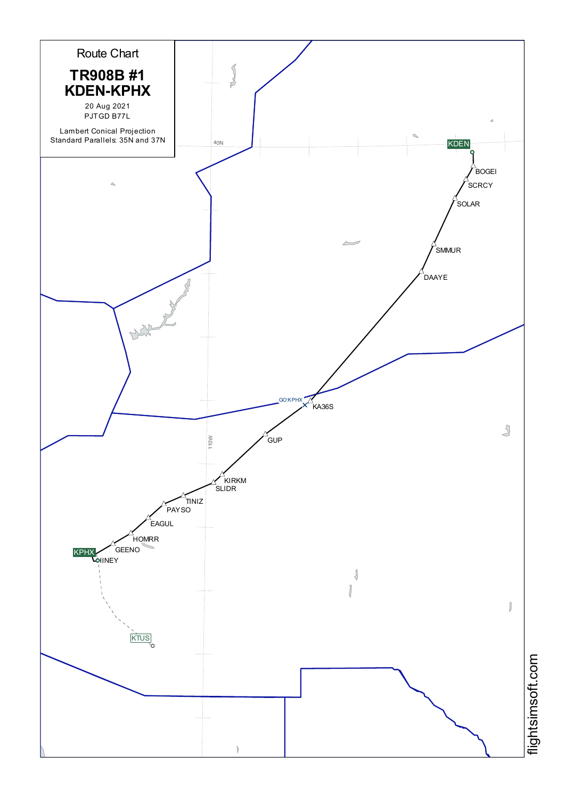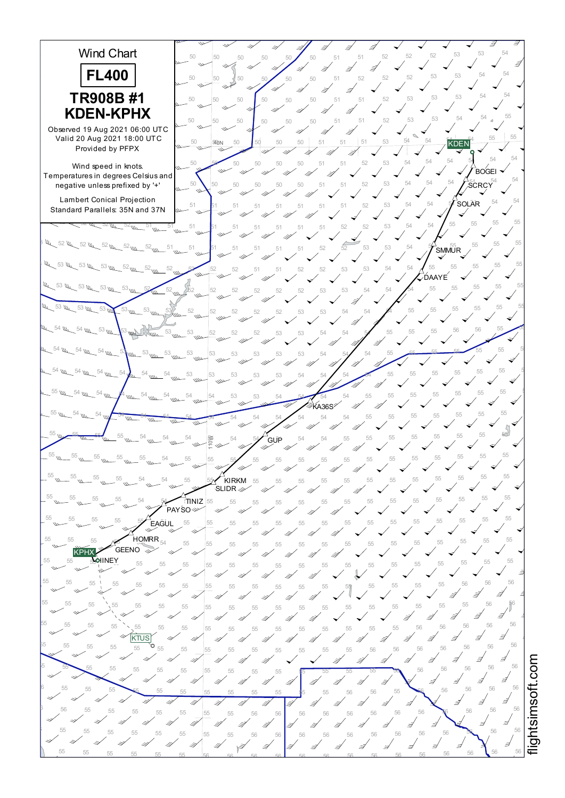

i≣ htsim soft.c o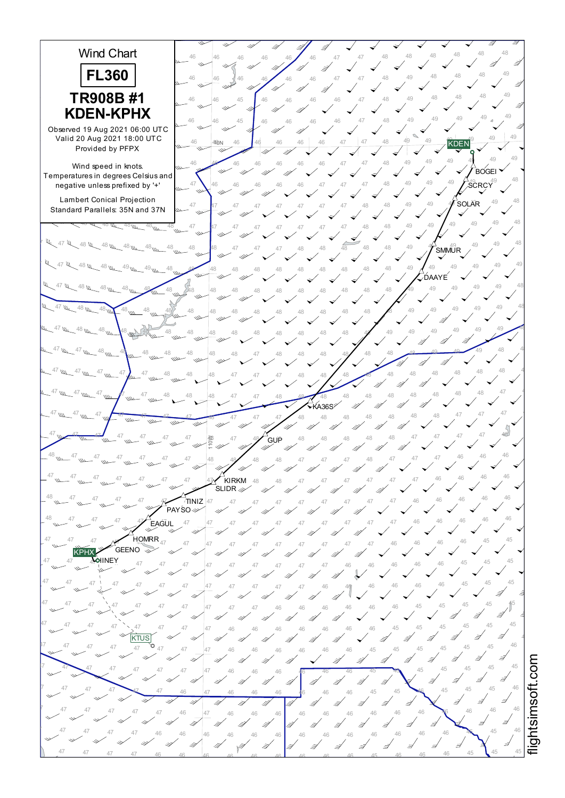

i≣ htsim soft.c o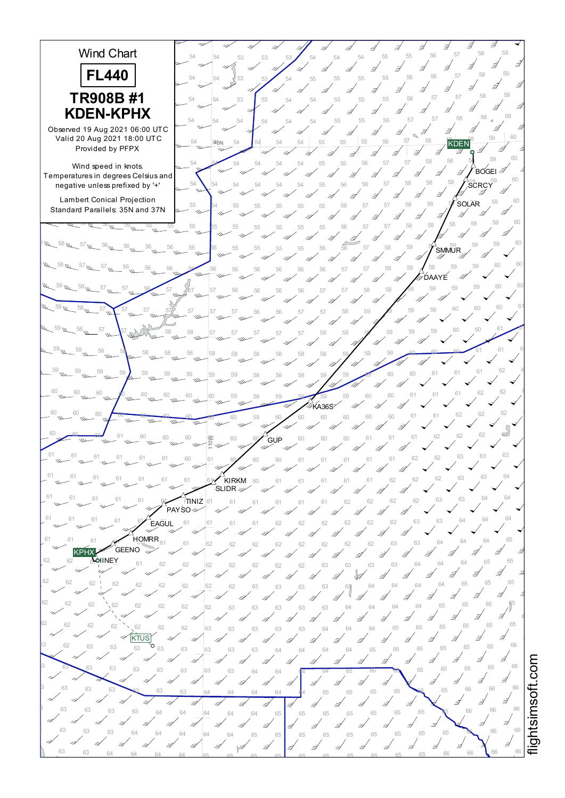